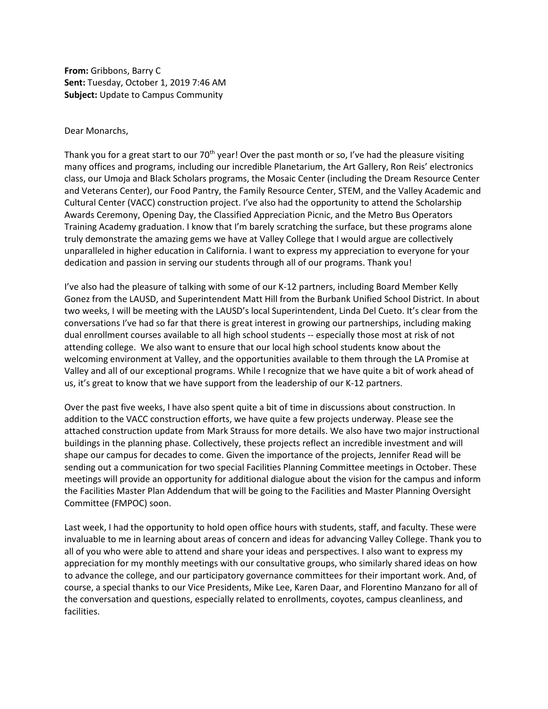**From:** Gribbons, Barry C **Sent:** Tuesday, October 1, 2019 7:46 AM **Subject:** Update to Campus Community

## Dear Monarchs,

Thank you for a great start to our  $70^{th}$  year! Over the past month or so, I've had the pleasure visiting many offices and programs, including our incredible Planetarium, the Art Gallery, Ron Reis' electronics class, our Umoja and Black Scholars programs, the Mosaic Center (including the Dream Resource Center and Veterans Center), our Food Pantry, the Family Resource Center, STEM, and the Valley Academic and Cultural Center (VACC) construction project. I've also had the opportunity to attend the Scholarship Awards Ceremony, Opening Day, the Classified Appreciation Picnic, and the Metro Bus Operators Training Academy graduation. I know that I'm barely scratching the surface, but these programs alone truly demonstrate the amazing gems we have at Valley College that I would argue are collectively unparalleled in higher education in California. I want to express my appreciation to everyone for your dedication and passion in serving our students through all of our programs. Thank you!

I've also had the pleasure of talking with some of our K-12 partners, including Board Member Kelly Gonez from the LAUSD, and Superintendent Matt Hill from the Burbank Unified School District. In about two weeks, I will be meeting with the LAUSD's local Superintendent, Linda Del Cueto. It's clear from the conversations I've had so far that there is great interest in growing our partnerships, including making dual enrollment courses available to all high school students -- especially those most at risk of not attending college. We also want to ensure that our local high school students know about the welcoming environment at Valley, and the opportunities available to them through the LA Promise at Valley and all of our exceptional programs. While I recognize that we have quite a bit of work ahead of us, it's great to know that we have support from the leadership of our K-12 partners.

Over the past five weeks, I have also spent quite a bit of time in discussions about construction. In addition to the VACC construction efforts, we have quite a few projects underway. Please see the attached construction update from Mark Strauss for more details. We also have two major instructional buildings in the planning phase. Collectively, these projects reflect an incredible investment and will shape our campus for decades to come. Given the importance of the projects, Jennifer Read will be sending out a communication for two special Facilities Planning Committee meetings in October. These meetings will provide an opportunity for additional dialogue about the vision for the campus and inform the Facilities Master Plan Addendum that will be going to the Facilities and Master Planning Oversight Committee (FMPOC) soon.

Last week, I had the opportunity to hold open office hours with students, staff, and faculty. These were invaluable to me in learning about areas of concern and ideas for advancing Valley College. Thank you to all of you who were able to attend and share your ideas and perspectives. I also want to express my appreciation for my monthly meetings with our consultative groups, who similarly shared ideas on how to advance the college, and our participatory governance committees for their important work. And, of course, a special thanks to our Vice Presidents, Mike Lee, Karen Daar, and Florentino Manzano for all of the conversation and questions, especially related to enrollments, coyotes, campus cleanliness, and facilities.